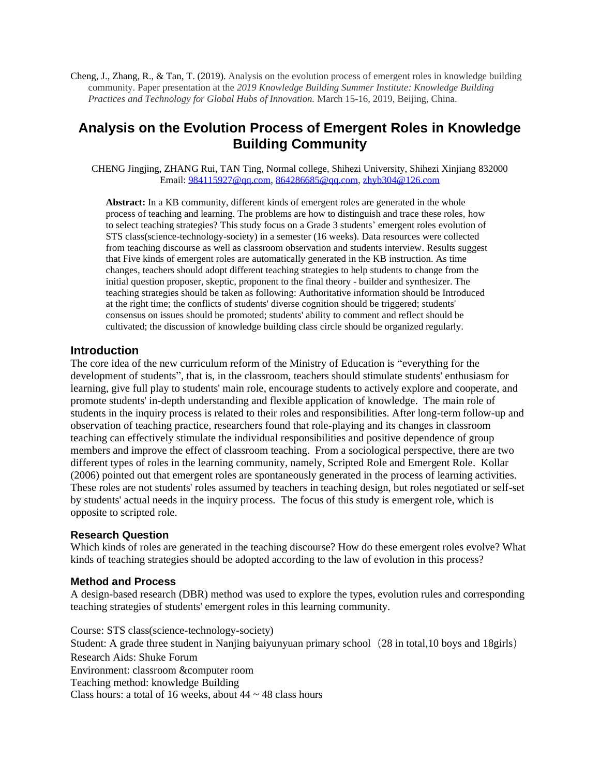Cheng, J., Zhang, R., & Tan, T. (2019). Analysis on the evolution process of emergent roles in knowledge building community. Paper presentation at the *2019 Knowledge Building Summer Institute: Knowledge Building Practices and Technology for Global Hubs of Innovation.* March 15-16, 2019, Beijing, China.

# **Analysis on the Evolution Process of Emergent Roles in Knowledge Building Community**

CHENG Jingjing, ZHANG Rui, TAN Ting, Normal college, Shihezi University, Shihezi Xinjiang 832000 Email: [984115927@qq.com,](mailto:984115927@qq.com) [864286685@qq.com,](mailto:864286685@qq.com) [zhyb304@126.com](mailto:zhyb304@126.com)

**Abstract:** In a KB community, different kinds of emergent roles are generated in the whole process of teaching and learning. The problems are how to distinguish and trace these roles, how to select teaching strategies? This study focus on a Grade 3 students' emergent roles evolution of STS class(science-technology-society) in a semester (16 weeks). Data resources were collected from teaching discourse as well as classroom observation and students interview. Results suggest that Five kinds of emergent roles are automatically generated in the KB instruction. As time changes, teachers should adopt different teaching strategies to help students to change from the initial question proposer, skeptic, proponent to the final theory - builder and synthesizer. The teaching strategies should be taken as following: Authoritative information should be Introduced at the right time; the conflicts of students' diverse cognition should be triggered; students' consensus on issues should be promoted; students' ability to comment and reflect should be cultivated; the discussion of knowledge building class circle should be organized regularly.

#### **Introduction**

The core idea of the new curriculum reform of the Ministry of Education is "everything for the development of students", that is, in the classroom, teachers should stimulate students' enthusiasm for learning, give full play to students' main role, encourage students to actively explore and cooperate, and promote students' in-depth understanding and flexible application of knowledge. The main role of students in the inquiry process is related to their roles and responsibilities. After long-term follow-up and observation of teaching practice, researchers found that role-playing and its changes in classroom teaching can effectively stimulate the individual responsibilities and positive dependence of group members and improve the effect of classroom teaching. From a sociological perspective, there are two different types of roles in the learning community, namely, Scripted Role and Emergent Role. Kollar (2006) pointed out that emergent roles are spontaneously generated in the process of learning activities. These roles are not students' roles assumed by teachers in teaching design, but roles negotiated or self-set by students' actual needs in the inquiry process. The focus of this study is emergent role, which is opposite to scripted role.

#### **Research Question**

Which kinds of roles are generated in the teaching discourse? How do these emergent roles evolve? What kinds of teaching strategies should be adopted according to the law of evolution in this process?

#### **Method and Process**

A design-based research (DBR) method was used to explore the types, evolution rules and corresponding teaching strategies of students' emergent roles in this learning community.

Course: STS class(science-technology-society) Student: A grade three student in Nanjing baiyunyuan primary school (28 in total,10 boys and 18girls) Research Aids: Shuke Forum Environment: classroom &computer room Teaching method: knowledge Building Class hours: a total of 16 weeks, about  $44 \sim 48$  class hours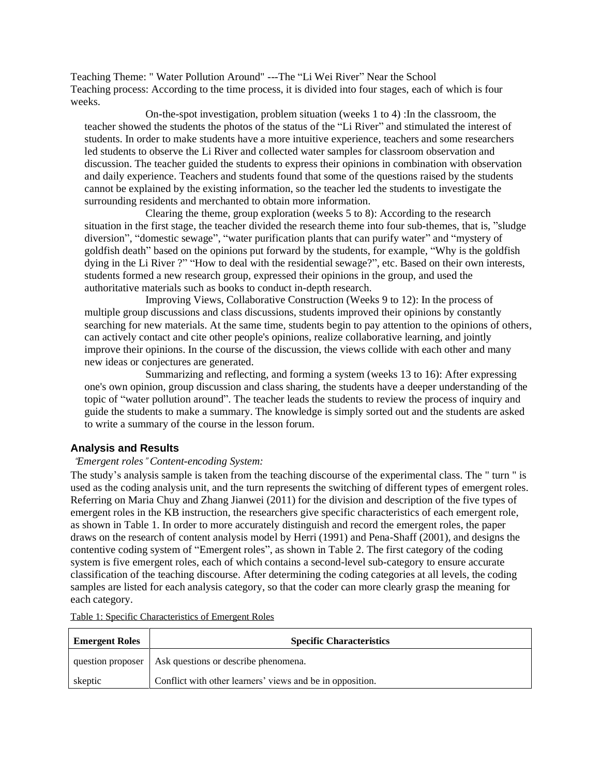Teaching Theme: " Water Pollution Around" ---The "Li Wei River" Near the School Teaching process: According to the time process, it is divided into four stages, each of which is four weeks.

On-the-spot investigation, problem situation (weeks 1 to 4) :In the classroom, the teacher showed the students the photos of the status of the "Li River" and stimulated the interest of students. In order to make students have a more intuitive experience, teachers and some researchers led students to observe the Li River and collected water samples for classroom observation and discussion. The teacher guided the students to express their opinions in combination with observation and daily experience. Teachers and students found that some of the questions raised by the students cannot be explained by the existing information, so the teacher led the students to investigate the surrounding residents and merchanted to obtain more information.

Clearing the theme, group exploration (weeks 5 to 8): According to the research situation in the first stage, the teacher divided the research theme into four sub-themes, that is, "sludge diversion", "domestic sewage", "water purification plants that can purify water" and "mystery of goldfish death" based on the opinions put forward by the students, for example, "Why is the goldfish dying in the Li River ?" "How to deal with the residential sewage?", etc. Based on their own interests, students formed a new research group, expressed their opinions in the group, and used the authoritative materials such as books to conduct in-depth research.

Improving Views, Collaborative Construction (Weeks 9 to 12): In the process of multiple group discussions and class discussions, students improved their opinions by constantly searching for new materials. At the same time, students begin to pay attention to the opinions of others, can actively contact and cite other people's opinions, realize collaborative learning, and jointly improve their opinions. In the course of the discussion, the views collide with each other and many new ideas or conjectures are generated.

Summarizing and reflecting, and forming a system (weeks 13 to 16): After expressing one's own opinion, group discussion and class sharing, the students have a deeper understanding of the topic of "water pollution around". The teacher leads the students to review the process of inquiry and guide the students to make a summary. The knowledge is simply sorted out and the students are asked to write a summary of the course in the lesson forum.

## **Analysis and Results**

#### "*Emergent roles*" *Content-encoding System:*

The study's analysis sample is taken from the teaching discourse of the experimental class. The " turn " is used as the coding analysis unit, and the turn represents the switching of different types of emergent roles. Referring on Maria Chuy and Zhang Jianwei (2011) for the division and description of the five types of emergent roles in the KB instruction, the researchers give specific characteristics of each emergent role, as shown in Table 1. In order to more accurately distinguish and record the emergent roles, the paper draws on the research of content analysis model by Herri (1991) and Pena-Shaff (2001), and designs the contentive coding system of "Emergent roles", as shown in Table 2. The first category of the coding system is five emergent roles, each of which contains a second-level sub-category to ensure accurate classification of the teaching discourse. After determining the coding categories at all levels, the coding samples are listed for each analysis category, so that the coder can more clearly grasp the meaning for each category.

| <b>Emergent Roles</b> | <b>Specific Characteristics</b>                           |  |  |  |
|-----------------------|-----------------------------------------------------------|--|--|--|
|                       | question proposer   Ask questions or describe phenomena.  |  |  |  |
| skeptic               | Conflict with other learners' views and be in opposition. |  |  |  |

Table 1: Specific Characteristics of Emergent Roles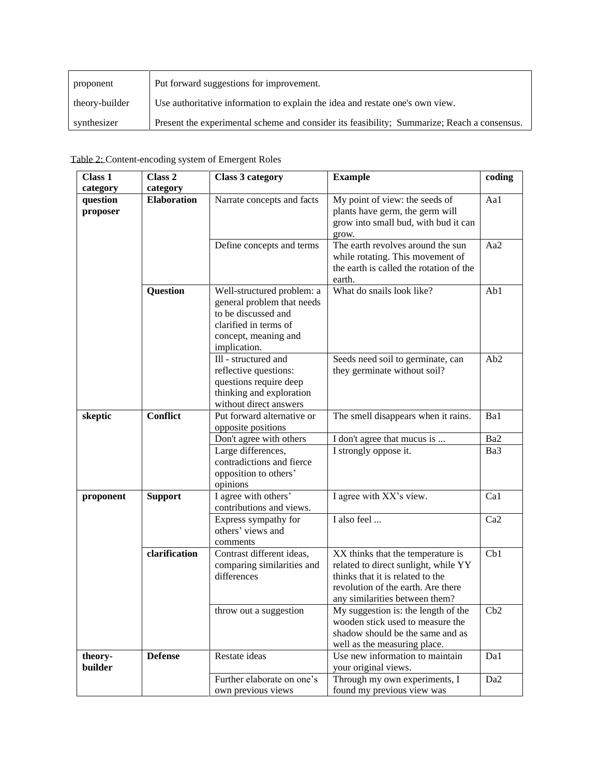| proponent      | Put forward suggestions for improvement.                                                    |
|----------------|---------------------------------------------------------------------------------------------|
| theory-builder | Use authoritative information to explain the idea and restate one's own view.               |
| synthesizer    | Present the experimental scheme and consider its feasibility; Summarize; Reach a consensus. |

| Class 1                                                       | Class 2        | <b>Class 3 category</b>                                                                                                                          | <b>Example</b>                                                                                                                                                                        | coding          |
|---------------------------------------------------------------|----------------|--------------------------------------------------------------------------------------------------------------------------------------------------|---------------------------------------------------------------------------------------------------------------------------------------------------------------------------------------|-----------------|
| category                                                      | category       |                                                                                                                                                  |                                                                                                                                                                                       |                 |
| <b>Elaboration</b><br>question<br>proposer<br><b>Question</b> |                | Narrate concepts and facts<br>Define concepts and terms                                                                                          | My point of view: the seeds of<br>plants have germ, the germ will<br>grow into small bud, with bud it can<br>grow.<br>The earth revolves around the sun                               | Aa1<br>Aa2      |
|                                                               |                |                                                                                                                                                  | while rotating. This movement of<br>the earth is called the rotation of the<br>earth.                                                                                                 |                 |
|                                                               |                | Well-structured problem: a<br>general problem that needs<br>to be discussed and<br>clarified in terms of<br>concept, meaning and<br>implication. | What do snails look like?                                                                                                                                                             | Ab1             |
|                                                               |                | Ill - structured and<br>reflective questions:<br>questions require deep<br>thinking and exploration<br>without direct answers                    | Seeds need soil to germinate, can<br>they germinate without soil?                                                                                                                     | Ab <sub>2</sub> |
| <b>Conflict</b><br>skeptic                                    |                | Put forward alternative or<br>opposite positions                                                                                                 | The smell disappears when it rains.                                                                                                                                                   | Ba1             |
|                                                               |                | Don't agree with others                                                                                                                          | I don't agree that mucus is                                                                                                                                                           | Ba2             |
|                                                               |                | Large differences,<br>contradictions and fierce<br>opposition to others'<br>opinions                                                             | I strongly oppose it.                                                                                                                                                                 | Ba3             |
| proponent                                                     | <b>Support</b> | I agree with others'<br>contributions and views.                                                                                                 | I agree with XX's view.                                                                                                                                                               | Ca1             |
|                                                               |                | Express sympathy for<br>others' views and<br>comments                                                                                            | I also feel                                                                                                                                                                           | Ca <sub>2</sub> |
|                                                               | clarification  | Contrast different ideas,<br>comparing similarities and<br>differences                                                                           | XX thinks that the temperature is<br>related to direct sunlight, while YY<br>thinks that it is related to the<br>revolution of the earth. Are there<br>any similarities between them? | Cb1             |
|                                                               |                | throw out a suggestion                                                                                                                           | My suggestion is: the length of the<br>wooden stick used to measure the<br>shadow should be the same and as<br>well as the measuring place.                                           | Cb2             |
| theory-<br>builder                                            | <b>Defense</b> | Restate ideas                                                                                                                                    | Use new information to maintain<br>your original views.                                                                                                                               | Da1             |
|                                                               |                | Further elaborate on one's<br>own previous views                                                                                                 | Through my own experiments, I<br>found my previous view was                                                                                                                           | Da <sub>2</sub> |

Table 2: Content-encoding system of Emergent Roles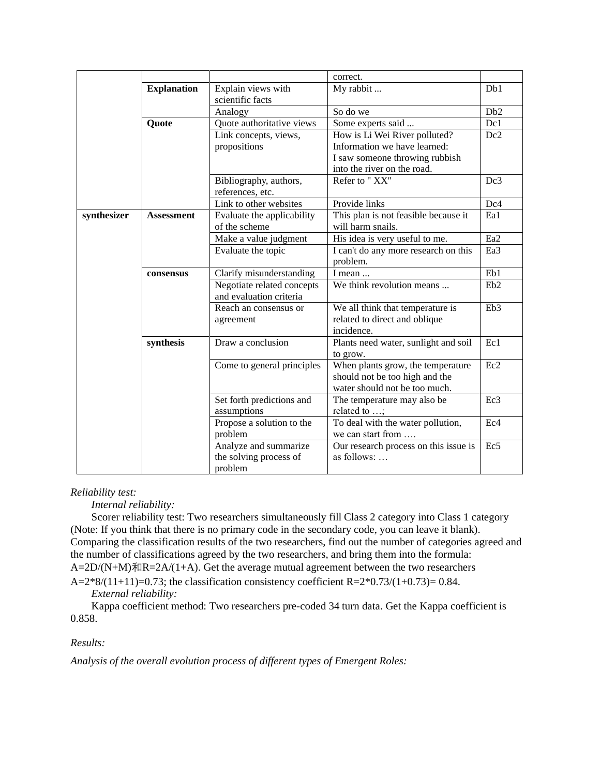|             |                                       |                            | correct.                              |                  |
|-------------|---------------------------------------|----------------------------|---------------------------------------|------------------|
|             | <b>Explanation</b>                    | Explain views with         | My rabbit                             | Db1              |
|             |                                       | scientific facts           |                                       |                  |
|             |                                       | Analogy                    | So do we                              | D <sub>b</sub> 2 |
|             | Quote                                 | Quote authoritative views  | Some experts said                     | Dc1              |
|             | Link concepts, views,                 |                            | How is Li Wei River polluted?         | Dc2              |
|             |                                       | propositions               | Information we have learned:          |                  |
|             |                                       |                            | I saw someone throwing rubbish        |                  |
|             |                                       |                            | into the river on the road.           |                  |
|             |                                       | Bibliography, authors,     | Refer to "XX"                         | Dc3              |
|             |                                       | references, etc.           |                                       |                  |
|             |                                       | Link to other websites     | Provide links                         | Dc4              |
| synthesizer | <b>Assessment</b>                     | Evaluate the applicability | This plan is not feasible because it  | Ea1              |
|             |                                       | of the scheme              | will harm snails.                     |                  |
|             |                                       | Make a value judgment      | His idea is very useful to me.        | Ea <sub>2</sub>  |
|             |                                       | Evaluate the topic         | I can't do any more research on this  | Ea3              |
|             |                                       |                            | problem.                              |                  |
|             | Clarify misunderstanding<br>consensus |                            | I mean                                | Eb1              |
|             |                                       | Negotiate related concepts | We think revolution means             | Eb2              |
|             |                                       | and evaluation criteria    |                                       |                  |
|             |                                       | Reach an consensus or      | We all think that temperature is      | Eb <sub>3</sub>  |
|             |                                       | agreement                  | related to direct and oblique         |                  |
|             |                                       |                            | incidence.                            |                  |
|             | synthesis                             | Draw a conclusion          | Plants need water, sunlight and soil  | Ec1              |
|             |                                       |                            | to grow.                              |                  |
|             | Come to general principles            |                            | When plants grow, the temperature     | Ec2              |
|             |                                       |                            | should not be too high and the        |                  |
|             |                                       |                            | water should not be too much.         |                  |
|             |                                       | Set forth predictions and  | The temperature may also be           | Ec3              |
|             |                                       | assumptions                | related to ;                          |                  |
|             |                                       | Propose a solution to the  | To deal with the water pollution,     | Ec <sub>4</sub>  |
|             |                                       | problem                    | we can start from                     |                  |
|             |                                       | Analyze and summarize      | Our research process on this issue is | Ec <sub>5</sub>  |
|             |                                       | the solving process of     | as follows:                           |                  |
|             |                                       | problem                    |                                       |                  |

#### *Reliability test:*

*Internal reliability:*

Scorer reliability test: Two researchers simultaneously fill Class 2 category into Class 1 category (Note: If you think that there is no primary code in the secondary code, you can leave it blank). Comparing the classification results of the two researchers, find out the number of categories agreed and the number of classifications agreed by the two researchers, and bring them into the formula:  $A=2D/(N+M)\overline{A}lR=2A/(1+A)$ . Get the average mutual agreement between the two researchers  $A=2*8/(11+11)=0.73$ ; the classification consistency coefficient R= $2*0.73/(1+0.73)=0.84$ .

*External reliability:* 

Kappa coefficient method: Two researchers pre-coded 34 turn data. Get the Kappa coefficient is 0.858.

#### *Results:*

*Analysis of the overall evolution process of different types of Emergent Roles:*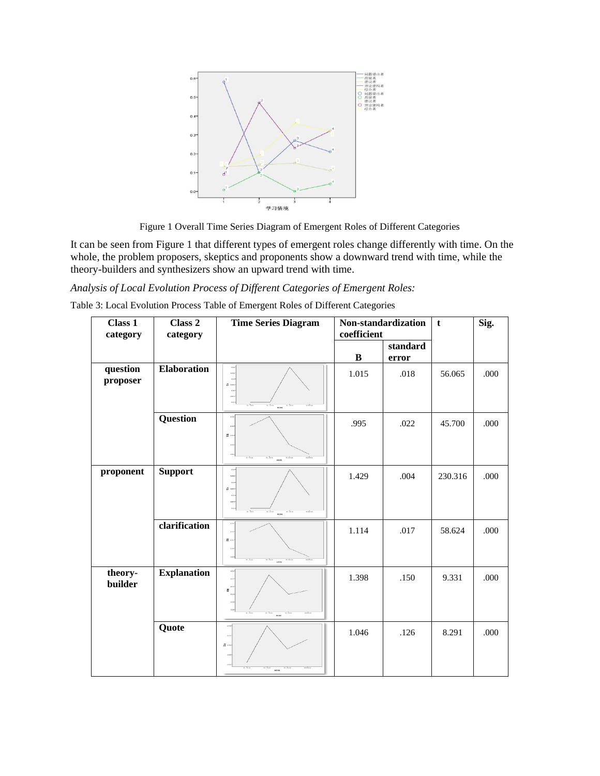

Figure 1 Overall Time Series Diagram of Emergent Roles of Different Categories

It can be seen from Figure 1 that different types of emergent roles change differently with time. On the whole, the problem proposers, skeptics and proponents show a downward trend with time, while the theory-builders and synthesizers show an upward trend with time.

# *Analysis of Local Evolution Process of Different Categories of Emergent Roles:*

|  | Table 3: Local Evolution Process Table of Emergent Roles of Different Categories |
|--|----------------------------------------------------------------------------------|
|  |                                                                                  |

| $\overline{\text{Class}}$ 1<br>category | Class 2<br>category | <b>Time Series Diagram</b>                     | Non-standardization<br>coefficient |                   | $\mathbf t$ | Sig. |
|-----------------------------------------|---------------------|------------------------------------------------|------------------------------------|-------------------|-------------|------|
|                                         |                     |                                                | $\, {\bf B}$                       | standard<br>error |             |      |
| question<br>proposer                    | <b>Elaboration</b>  | 1.021<br>青---<br>. <del>. .</del>              | 1.015                              | .018              | 56.065      | .000 |
|                                         | <b>Question</b>     | $\frac{39}{20}$ +<br><b>HERE</b>               | .995                               | .022              | 45.700      | .000 |
| proponent                               | <b>Support</b>      | 1421<br>首中<br>$-$ 5 $-$<br>1.50<br><b>1784</b> | 1.429                              | .004              | 230.316     | .000 |
|                                         | clarification       | $\frac{39}{36}$ .                              | 1.114                              | .017              | 58.624      | .000 |
| theory-<br>builder                      | <b>Explanation</b>  | $\mathbf{z}$ .<br><b>NH</b>                    | 1.398                              | .150              | 9.331       | .000 |
|                                         | Quote               | $\frac{1}{16}$ and<br><b>NH</b>                | 1.046                              | .126              | 8.291       | .000 |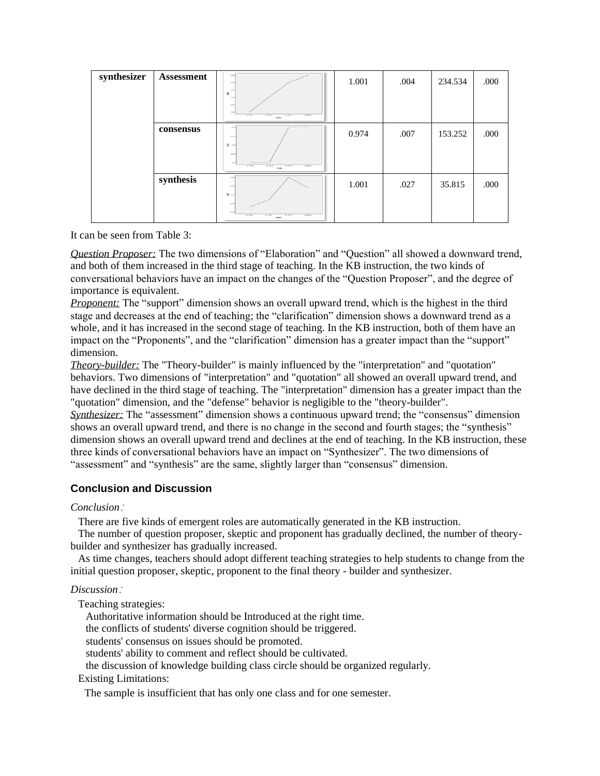| synthesizer | Assessment | $-20 -$<br><b>BBC</b><br>on and a<br>II.<br>0.02<br>0.04<br>an exter-<br>$8 - 0.0$<br>$n - n$<br>8.700<br><b>William Av</b><br><b>HTM</b> | 1.001 | .004 | 234.534 | .000 |
|-------------|------------|-------------------------------------------------------------------------------------------------------------------------------------------|-------|------|---------|------|
|             | consensus  | $-1$<br>a on a<br>最中<br>$4-000$<br>8.86<br>$n \geq n$<br>$n = 2n + n$<br>$n \times n$<br>$n - 2n$<br><b>HEAR</b>                          | 0.974 | .007 | 153.252 | .000 |
|             | synthesis  | <b>A</b><br>$n \times n$<br>$8 -$<br>0.16<br>a sad<br>$n - 2n$<br>$m$ of $m$<br>$10 - 34 + 12$<br>so cheer.<br>92.94                      | 1.001 | .027 | 35.815  | .000 |

It can be seen from Table 3:

*Question Proposer:* The two dimensions of "Elaboration" and "Question" all showed a downward trend, and both of them increased in the third stage of teaching. In the KB instruction, the two kinds of conversational behaviors have an impact on the changes of the "Question Proposer", and the degree of importance is equivalent.

*Proponent:* The "support" dimension shows an overall upward trend, which is the highest in the third stage and decreases at the end of teaching; the "clarification" dimension shows a downward trend as a whole, and it has increased in the second stage of teaching. In the KB instruction, both of them have an impact on the "Proponents", and the "clarification" dimension has a greater impact than the "support" dimension.

*Theory-builder:* The "Theory-builder" is mainly influenced by the "interpretation" and "quotation" behaviors. Two dimensions of "interpretation" and "quotation" all showed an overall upward trend, and have declined in the third stage of teaching. The "interpretation" dimension has a greater impact than the "quotation" dimension, and the "defense" behavior is negligible to the "theory-builder".

*Synthesizer:* The "assessment" dimension shows a continuous upward trend; the "consensus" dimension shows an overall upward trend, and there is no change in the second and fourth stages; the "synthesis" dimension shows an overall upward trend and declines at the end of teaching. In the KB instruction, these three kinds of conversational behaviors have an impact on "Synthesizer". The two dimensions of "assessment" and "synthesis" are the same, slightly larger than "consensus" dimension.

## **Conclusion and Discussion**

#### *Conclusion*:

There are five kinds of emergent roles are automatically generated in the KB instruction.

The number of question proposer, skeptic and proponent has gradually declined, the number of theorybuilder and synthesizer has gradually increased.

As time changes, teachers should adopt different teaching strategies to help students to change from the initial question proposer, skeptic, proponent to the final theory - builder and synthesizer.

#### *Discussion*:

Teaching strategies:

Authoritative information should be Introduced at the right time.

the conflicts of students' diverse cognition should be triggered.

students' consensus on issues should be promoted.

students' ability to comment and reflect should be cultivated.

the discussion of knowledge building class circle should be organized regularly.

#### Existing Limitations:

The sample is insufficient that has only one class and for one semester.